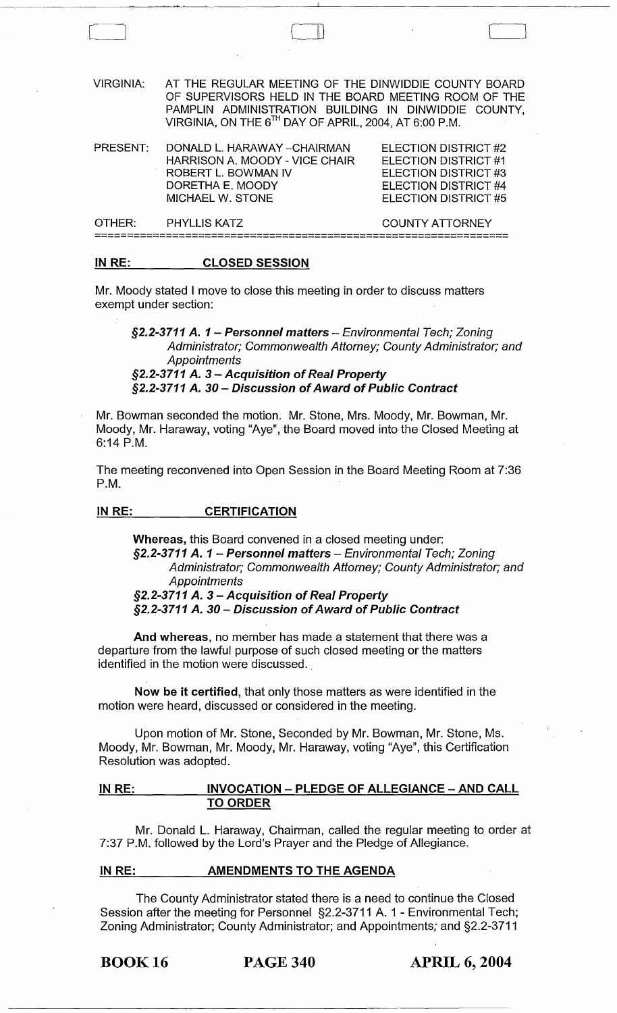| <b>VIRGINIA:</b> | AT THE REGULAR MEETING OF THE DINWIDDIE COUNTY BOARD<br>OF SUPERVISORS HELD IN THE BOARD MEETING ROOM OF THE<br>PAMPLIN ADMINISTRATION BUILDING IN DINWIDDIE COUNTY,<br>VIRGINIA, ON THE 6TH DAY OF APRIL, 2004, AT 6:00 P.M. |                                                                                                                      |
|------------------|-------------------------------------------------------------------------------------------------------------------------------------------------------------------------------------------------------------------------------|----------------------------------------------------------------------------------------------------------------------|
| PRESENT:         | DONALD L. HARAWAY - CHAIRMAN<br>HARRISON A. MOODY - VICE CHAIR<br>ROBERT L. BOWMAN IV<br>DORETHA E. MOODY<br><b>MICHAEL W. STONE</b>                                                                                          | ELECTION DISTRICT #2<br>ELECTION DISTRICT #1<br>ELECTION DISTRICT #3<br>ELECTION DISTRICT #4<br>ELECTION DISTRICT #5 |
| OTHER:           | <b>PHYLLIS KATZ</b>                                                                                                                                                                                                           | COUNTY ATTORNEY                                                                                                      |
|                  |                                                                                                                                                                                                                               |                                                                                                                      |

 $\Box$ 

#### IN RE: CLOSED SESSION

Mr. Moody stated I move to close this meeting in order to discuss matters exempt under section:

§2.2-3711 A. 1 - Personnel matters - Environmental Tech; Zoning Administrator; Commonwealth Attorney; County Administrator; and **Appointments** 

§2.2-3711 A. 3 - Acquisition of Real Property §2.2-3711 A. 30 - Discussion of Award of Public Contract

Mr. Bowman seconded the motion. Mr. Stone, Mrs. Moody, Mr. Bowman, Mr. Moody, Mr. Haraway, voting "Aye", the Board moved into the Closed Meeting at 6:14 P.M.

The meeting reconvened into Open Session in the Board Meeting Room at 7:36 P.M.

#### IN RE: **CERTIFICATION**

Whereas, this Board convened in a closed meeting under: §2.2-3711 A. 1 - Personnel matters - Environmental Tech; Zoning Administrator; Commonwealth Attorney; County Administrator; and **Appointments** §2.2-3711 A. 3 - Acquisition of Real Property

§2.2-3711 A. 30 - Discussion of Award of Public Contract

And whereas, no member has made a statement that there was a departure from the lawful purpose of such closed meeting or the matters identified in the motion were discussed.

Now be it certified, that only those matters as were identified in the motion were heard, discussed or considered in the meeting.

Upon motion of Mr. Stone, Seconded by Mr. Bowman, Mr. Stone, Ms. Moody, Mr. Bowman, Mr. Moody, Mr. Haraway, voting "Aye", this Certification Resolution was adopted.

# IN RE: MOCATION - PLEDGE OF ALLEGIANCE - AND CALL TO ORDER

Mr. Donald L. Haraway, Chairman, called the regular meeting to order at 7:37 P.M. followed by the Lord's Prayer and the Pledge of Allegiance.

#### IN RE: AMENDMENTS TO THE AGENDA

The County Administrator stated there is a need to continue the Closed Session after the meeting for Personnel §2.2-3711 A. 1 - Environmental Tech; Zoning Administrator; County Administrator; and Appointments; and §2.2-3711

BOOK 16 PAGE 340 APRIL 6, 2004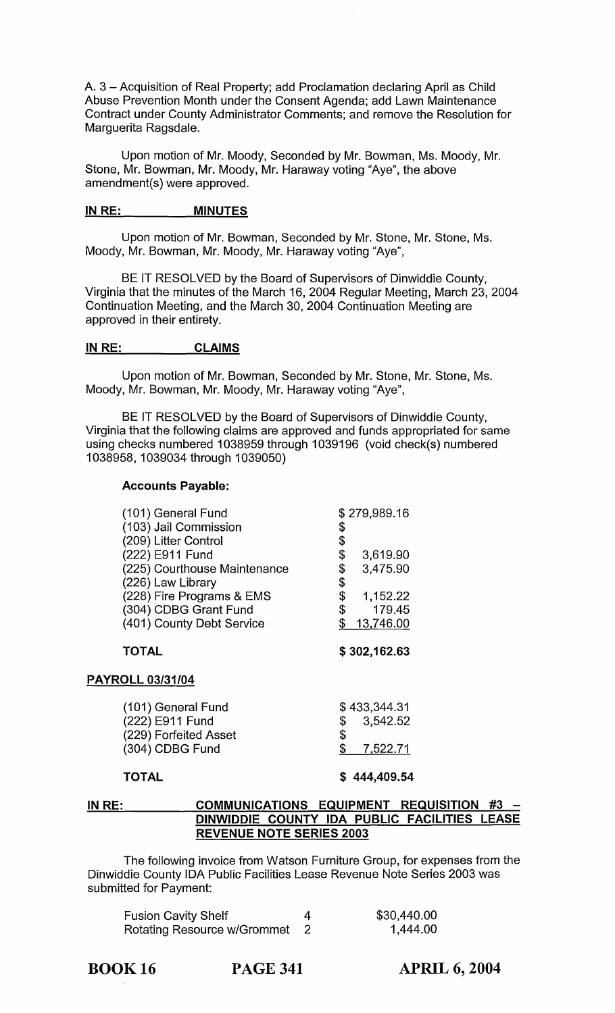A. 3 - Acquisition of Real Property; add Proclamation declaring April as Child Abuse Prevention Month under the Consent Agenda; add Lawn Maintenance Contract under County Administrator Comments; and remove the Resolution for Marguerita Ragsdale.

Upon motion of Mr. Moody, Seconded by Mr. Bowman, Ms. Moody, Mr. Stone, Mr. Bowman, Mr. Moody, Mr. Haraway voting "Aye", the above amendment(s) were approved.

#### IN RE: \_\_\_\_\_\_\_\_\_\_\_\_ MINUTES

Upon motion of Mr. Bowman, Seconded by Mr. Stone, Mr. Stone, Ms. Moody, Mr. Bowman, Mr. Moody, Mr. Haraway voting "Aye",

BE IT RESOLVED by the Board of Supervisors of Dinwiddie County, Virginia that the minutes of the March 16, 2004 Regular Meeting, March 23, 2004 Continuation Meeting, and the March 30, 2004 Continuation Meeting are approved in their entirety.

# INRE: CLAIMS

Upon motion of Mr. Bowman, Seconded by Mr. Stone, Mr. Stone, Ms. Moody, Mr. Bowman, Mr. Moody, Mr. Haraway voting "Aye",

BE IT RESOLVED by the Board of Supervisors of Dinwiddie County, Virginia that the following claims are approved and funds appropriated for same using checks numbered 1038959 through 1039196 (void check(s) numbered 1038958, 1039034 through 1039050)

# Accounts Payable:

|                              | \$279,989.16         |
|------------------------------|----------------------|
| (103) Jail Commission        | \$                   |
| (209) Litter Control         | \$                   |
| (222) E911 Fund              | \$<br>3,619.90       |
| (225) Courthouse Maintenance | \$<br>3,475.90       |
| (226) Law Library            | \$                   |
| (228) Fire Programs & EMS    | \$<br>1,152.22       |
| (304) CDBG Grant Fund        | \$<br>179.45         |
| (401) County Debt Service    | \$<br>13,746.00      |
| <b>TOTAL</b>                 | \$302,162.63         |
|                              |                      |
| <b>PAYROLL 03/31/04</b>      |                      |
| (101) General Fund           | \$433,344.31         |
| (222) E911 Fund              | \$<br>3.542.52       |
| (229) Forfeited Asset        |                      |
| (304) CDBG Fund              | \$<br>\$<br>7,522.71 |

#### IN RE: COMMUNICATIONS EQUIPMENT REQUISITION #3 DINWIDDIE COUNTY IDA PUBLIC FACILITIES LEASE REVENUE NOTE SERIES 2003

The following invoice from Watson Furniture Group, for expenses from the Dinwiddie County IDA Public Facilities Lease Revenue Note Series 2003 was submitted for Payment:

| <b>Fusion Cavity Shelf</b>  | \$30,440.00 |
|-----------------------------|-------------|
| Rotating Resource w/Grommet | 1,444.00    |

BOOK 16 PAGE 341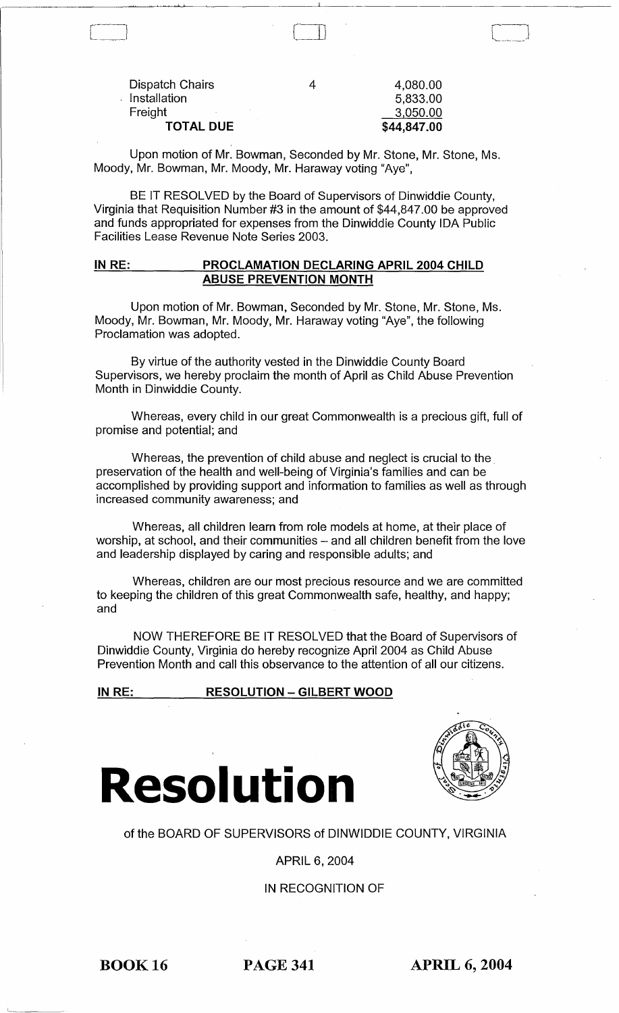| Dispatch Chairs  |  |
|------------------|--|
| Installation     |  |
| Freight          |  |
| <b>TOTAL DUE</b> |  |

! J.

|   | \$44,847.00 |
|---|-------------|
|   | 3,050.00    |
|   | 5,833.00    |
| 4 | 4,080.00    |

Upon motion of Mr. Bowman, Seconded by Mr. Stone, Mr. Stone, Ms. Moody, Mr. Bowman, Mr. Moody, Mr. Haraway voting "Aye",

BE IT RESOLVED by the Board of Supervisors of Dinwiddie County, Virginia that Requisition Number #3 in the amount of \$44,847.00 be approved and funds appropriated for expenses from the Dinwiddie County IDA Public Facilities Lease Revenue Note Series 2003.

#### IN RE: PROCLAMATION DECLARING APRIL 2004 CHILD ABUSE PREVENTION MONTH

Upon motion of Mr. Bowman, Seconded by Mr. Stone, Mr. Stone, Ms. Moody, Mr. Bowman, Mr. Moody, Mr. Haraway voting "Aye", the following Proclamation was adopted.

By virtue of the authority vested in the Dinwiddie County Board Supervisors, we hereby proclaim the month of April as Child Abuse Prevention Month in Dinwiddie County.

Whereas, every child in our great Commonwealth is a precious gift, full of promise and potential; and

Whereas, the prevention of child abuse and neglect is crucial to the preservation of the health and well-being of Virginia's families and can be accomplished by providing support and information to families as well as through increased community awareness; and

Whereas, all children learn from role models at home, at their place of worship, at school, and their communities  $-$  and all children benefit from the love and leadership displayed by caring and responsible adults; and

Whereas, children are our most precious resource and we are committed to keeping the children of this great Commonwealth safe, healthy, and happy; and

NOW THEREFORE BE IT RESOLVED that the Board of Supervisors of Dinwiddie County, Virginia do hereby recognize April 2004 as Child Abuse Prevention Month and call this observance to the attention of all our citizens.

# IN RE: RESOLUTION - GILBERT WOOD





# of the BOARD OF SUPERVISORS of DINWIDDIE COUNTY, VIRGINIA

# APRIL 6, 2004

# IN RECOGNITION OF

BOOK 16 PAGE 341 APRIL 6, 2004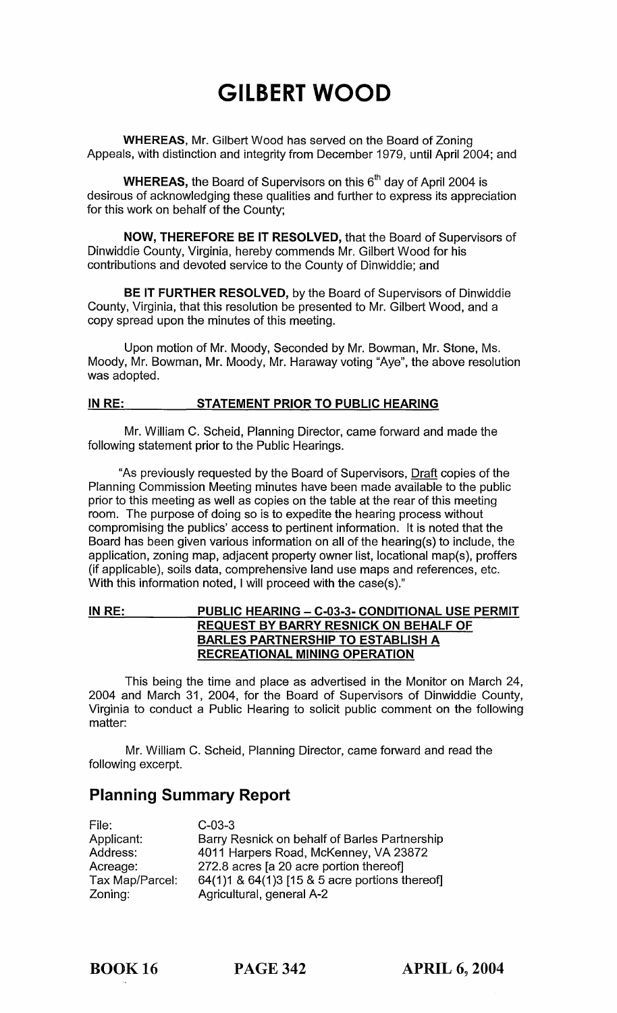# **GILBERT WOOD**

**WHEREAS,** Mr. Gilbert Wood has served on the Board of Zoning Appeals, with distinction and integrity from December 1979, until April 2004; and

**WHEREAS, the Board of Supervisors on this 6<sup>th</sup> day of April 2004 is** desirous of acknowledging these qualities and further to express its appreciation for this work on behalf of the County;

**NOW, THEREFORE BE IT RESOLVED,** that the Board of Supervisors of Dinwiddie County, Virginia, hereby commends Mr. Gilbert Wood for his contributions and devoted service to the County of Dinwiddie; and

**BE IT FURTHER RESOLVED,** by the Board of Supervisors of Dinwiddie County, Virginia, that this resolution be presented to Mr. Gilbert Wood, and a copy spread upon the minutes of this meeting.

Upon motion of Mr. Moody, Seconded by Mr. Bowman, Mr. Stone, Ms. Moody, Mr. Bowman, Mr. Moody, Mr. Haraway voting "Aye", the above resolution was adopted.

### **INRE: STATEMENT PRIOR TO PUBLIC HEARING**

Mr. William C. Scheid, Planning Director, came forward and made the following statement prior to the Public Hearings.

"As previously requested by the Board of Supervisors, Draft copies of the Planning Commission Meeting minutes have been made available to the public prior to this meeting as well as copies on the table at the rear of this meeting room. The purpose of doing so is to expedite the hearing process without compromising the publics' access to pertinent information. It is noted that the Board has been given various information on all of the hearing(s) to include, the application, zoning map, adjacent property owner list, locational map(s), proffers (if applicable), soils data, comprehensive land use maps and references, etc. With this information noted, I will proceed with the case(s)."

# **INRE: PUBLIC HEARING - C-03-3- CONDITIONAL USE PERMIT REQUEST BY BARRY RESNICK ON BEHALF OF BARLES PARTNERSHIP TO ESTABLISH A RECREATIONAL MINING OPERATION**

This being the time and place as advertised in the Monitor on March 24, 2004 and March 31, 2004, for the Board of Supervisors of Dinwiddie County, Virginia to conduct a Public Hearing to solicit public comment on the following matter:

Mr. William C. Scheid, Planning Director, came forward and read the following excerpt.

# **Planning Summary Report**

| File:           | $C-03-3$                                       |
|-----------------|------------------------------------------------|
| Applicant:      | Barry Resnick on behalf of Barles Partnership  |
| Address:        | 4011 Harpers Road, McKenney, VA 23872          |
| Acreage:        | 272.8 acres [a 20 acre portion thereof]        |
| Tax Map/Parcel: | 64(1)1 & 64(1)3 [15 & 5 acre portions thereof] |
| Zoning:         | Agricultural, general A-2                      |

BOOK 16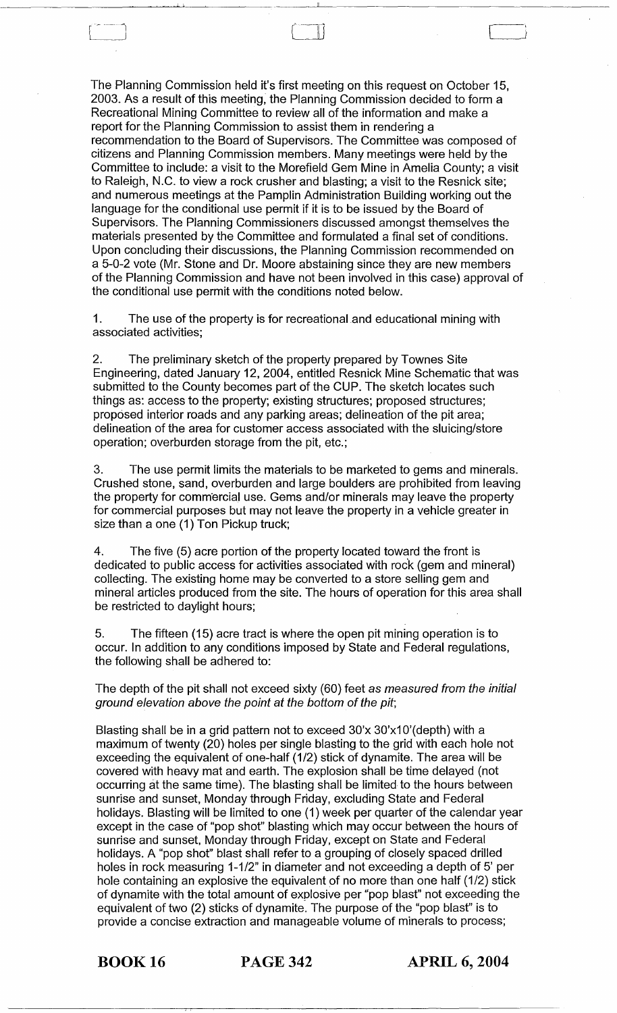The Planning Commission held it's first meeting on this request on October 15, 2003. As a result of this meeting, the Planning Commission decided to form a Recreational Mining Committee to review all of the information and make a report for the Planning Commission to assist them in rendering a recommendation to the Board of Supervisors. The Committee was composed of citizens and Planning Commission members. Many meetings were held by the Committee to include: a visit to the Morefield Gem Mine in Amelia County; a visit to Raleigh, N.C. to view a rock crusher and blasting; a visit to the Resnick site; and numerous meetings at the Pamplin Administration Building working out the language for the conditional use permit if it is to be issued by the Board of Supervisors. The Planning Commissioners discussed amongst themselves the materials presented by the Committee and formulated a final set of conditions. Upon concluding their discussions, the Planning Commission recommended on a 5-0-2 vote (Mr. Stone and Dr. Moore abstaining since they are new members of the Planning Commission and have not been involved in this case) approval of the conditional use permit with the conditions noted below.

 $\begin{pmatrix} 1 & 1 \\ 1 & 1 \end{pmatrix}$ 

<u>.</u>

1. The use of the property is for recreational and educational mining with associated activities;

2. The preliminary sketch of the property prepared by Townes Site Engineering, dated January 12, 2004, entitled Resnick Mine Schematic that was submitted to the County becomes part of the CUP. The sketch locates such things as: access to the property; existing structures; proposed structures; proposed interior roads and any parking areas; delineation of the pit area; delineation of the area for customer access associated with the sluicing/store operation; overburden storage from the pit, etc.;

3. The use permit limits the materials to be marketed to gems and minerals. Crushed stone, sand, overburden and large boulders are prohibited from leaving the property for comm'ercial use. Gems and/or minerals may leave the property for commercial purposes but may not leave the property in a vehicle greater in size than a one (1) Ton Pickup truck;

4. The five (5) acre portion of the property located toward the front is dedicated to public access for activities associated with rock (gem and mineral) collecting. The existing home may be converted to a store selling gem and mineral articles produced from the site. The hours of operation for this area shall be restricted to daylight hours;

5. The fifteen (15) acre tract is where the open pit mining operation is to occur. In addition to any conditions imposed by State and Federal regulations, the following shall be adhered to:

The depth of the pit shall not exceed sixty (60) feet as measured from the initial ground elevation above the point at the bottom of the pit;

Blasting shall be in a grid pattern not to exceed 30'x 30'x10'(depth) with a maximum of twenty (20) holes per single blasting to the grid with each hole not exceeding the equivalent of one-half (1/2) stick of dynamite. The area will be covered with heavy mat and earth. The explosion shall be time delayed (not occurring at the same time). The blasting shall be limited to the hours between sunrise and sunset, Monday through Friday, excluding State and Federal holidays. Blasting will be limited to one (1) week per quarter of the calendar year except in the case of "pop shot" blasting which may occur between the hours of sunrise and sunset, Monday through Friday, except on State and Federal holidays. A "pop shot" blast shall refer to a grouping of closely spaced drilled holes in rock measuring 1-1/2" in diameter and not exceeding a depth of 5' per hole containing an explosive the equivalent of no more than one half (1/2) stick of dynamite with the total amount of explosive per "pop blast" not exceeding the equivalent of two (2) sticks of dynamite, The purpose of the "pop blast" is to provide a concise extraction and manageable volume of minerals to process;

BOOK 16 PAGE 342 **APRIL 6, 2004**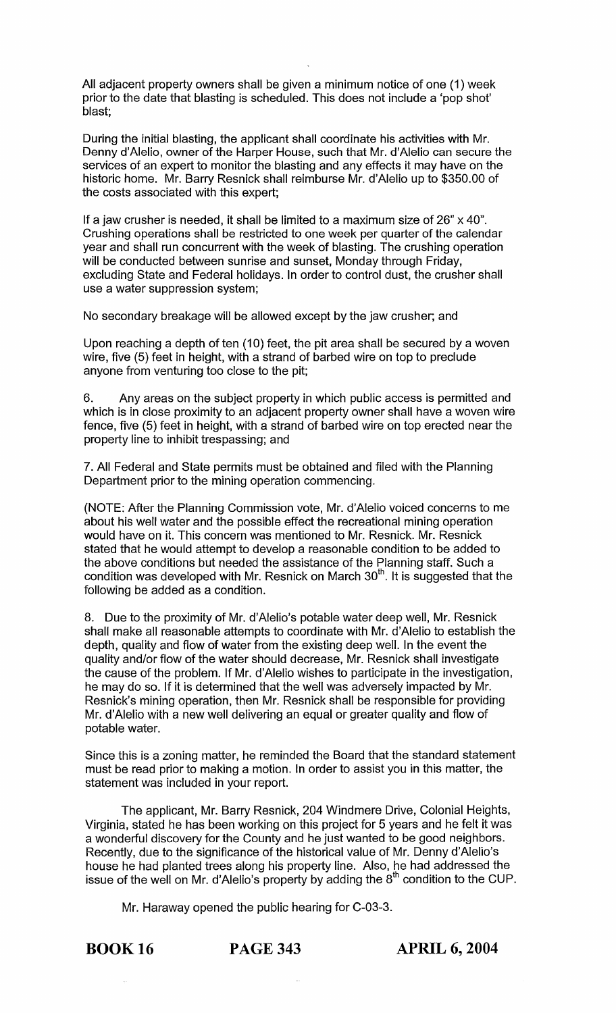All adjacent property owners shall be given a minimum notice of one (1) week prior to the date that blasting is scheduled. This does not include a 'pop shot' blast;

During the initial blasting, the applicant shall coordinate his activities with Mr. Denny d'Alelio, owner of the Harper House, such that Mr. d'Alelio can secure the services of an expert to monitor the blasting and any effects it may have on the historic home. Mr. Barry Resnick shall reimburse Mr. d'Alelio up to \$350.00 of the costs associated with this expert;

If a jaw crusher is needed, it shall be limited to a maximum size of  $26" \times 40"$ . Crushing operations shall be restricted to one week per quarter of the calendar year and shall run concurrent with the week of blasting. The crushing operation will be conducted between sunrise and sunset, Monday through Friday, excluding State and Federal holidays. In order to control dust, the crusher shall use a water suppression system;

No secondary breakage will be allowed except by the jaw crusher; and

Upon reaching a depth of ten (10) feet, the pit area shall be secured by a woven wire, five (5) feet in height, with a strand of barbed wire on top to preclude anyone from venturing too close to the pit;

6. Any areas on the subject property in which public access is permitted and which is in close proximity to an adjacent property owner shall have a woven wire fence, five (5) feet in height, with a strand of barbed wire on top erected near the property line to inhibit trespassing; and

7. All Federal and State permits must be obtained and filed with the Planning Department prior to the mining operation commencing.

(NOTE: After the Planning Commission vote, Mr. d'Alelio voiced concerns to me about his well water and the possible effect the recreational mining operation would have on it. This concern was mentioned to Mr. Resnick. Mr. Resnick stated that he would attempt to develop a reasonable condition to be added to the above conditions but needed the assistance of the Planning staff. Such a condition was developed with Mr. Resnick on March  $30<sup>th</sup>$ . It is suggested that the following be added as a condition.

8. Due to the proximity of Mr. d'Alelio's potable water deep well, Mr. Resnick shall make all reasonable attempts to coordinate with Mr. d'Alelio to establish the depth, quality and flow of water from the existing deep well. In the event the quality and/or flow of the water should decrease, Mr. Resnick shall investigate the cause of the problem. If Mr. d'Alelio wishes to participate in the investigation, he may do so. If it is determined that the well was adversely impacted by Mr. Resnick's mining operation, then Mr. Resnick shall be responsible for providing Mr. d'Alelio with a new well delivering an equal or greater quality and flow of potable water.

Since this is a zoning matter, he reminded the Board that the standard statement must be read prior to making a motion. In order to assist you in this matter, the statement was included in your report.

The applicant, Mr. Barry Resnick, 204 Windmere Drive, Colonial Heights, Virginia, stated he has been working on this project for 5 years and he felt it was a wonderful discovery for the County and he just wanted to be good neighbors. Recently, due to the significance of the historical value of Mr. Denny d'Alelio's house he had planted trees along his property line. Also, he had addressed the issue of the well on Mr. d'Alelio's property by adding the  $8<sup>th</sup>$  condition to the CUP.

Mr. Haraway opened the public hearing for C-03-3.

BOOK 16 PAGE 343 **APRIL 6, 2004**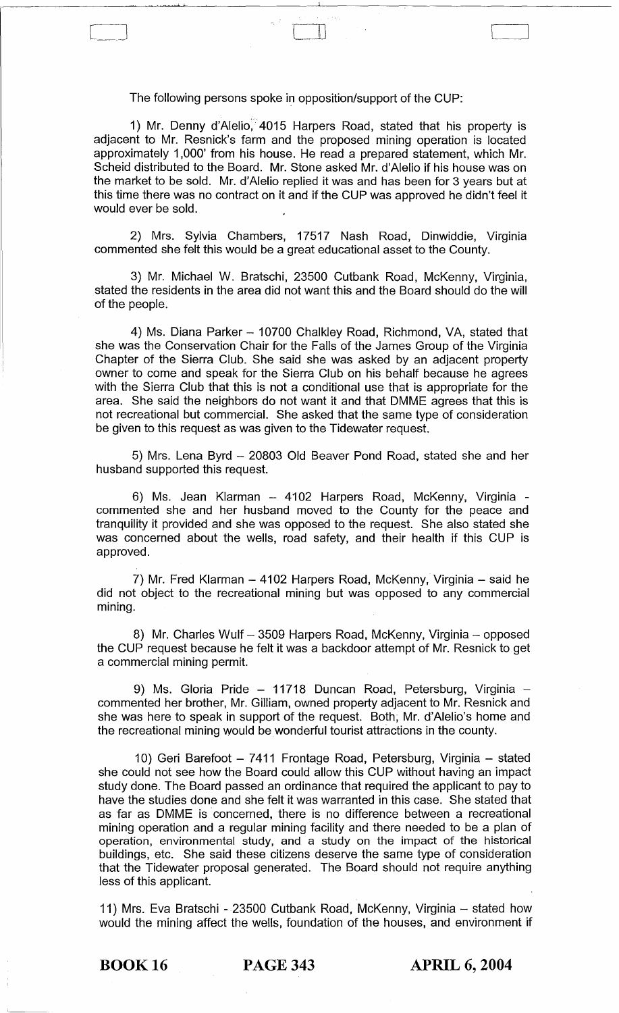The following persons spoke in opposition/support of the CUP:

 $\Box$ 

,j It

1) Mr. Denny d'Alelio, 4015 Harpers Road, stated that his property is adjacent to Mr. Resnick's farm and the proposed mining operation is located approximately 1,000' from his house. He read a prepared statement, which Mr. Scheid distributed to the Board. Mr. Stone asked Mr. d'Alelio if his house was on the market to be sold. Mr. d'Alelio replied it was and has been for 3 years but at this time there was no contract on it and if the CUP was approved he didn't feel it would ever be sold.

2) Mrs. Sylvia Chambers, 17517 Nash Road, Dinwiddie, Virginia commented she felt this would be a great educational asset to the County.

3) Mr. Michael W. Bratschi, 23500 Cutbank Road, McKenny, Virginia, stated the residents in the area did not want this and the Board should do the will of the people.

4) Ms. Diana Parker - 10700 Chalkley Road, Richmond, VA, stated that she was the Conservation Chair for the Falls of the James Group of the Virginia Chapter of the Sierra Club. She said she was asked by an adjacent property owner to come and speak for the Sierra Club on his behalf because he agrees with the Sierra Club that this is not a conditional use that is appropriate for the area. She said the neighbors do not want it and that DMME agrees that this is not recreational but commercial. She asked that the same type of consideration be given to this request as was given to the Tidewater request.

5) Mrs. Lena Byrd - 20803 Old Beaver Pond Road, stated she and her husband supported this request.

6) Ms. Jean Klarman - 4102 Harpers Road, McKenny, Virginia commented she and her husband moved to the County for the peace and tranquility it provided and she was opposed to the request. She also stated she was concerned about the wells, road safety, and their health if this CUP is approved.

7) Mr. Fred Klarman - 4102 Harpers Road, McKenny, Virginia - said he did not object to the recreational mining but was opposed to any commercial mining.

8) Mr. Charles Wulf - 3509 Harpers Road, McKenny, Virginia - opposed the CUP request because he felt it was a backdoor attempt of Mr. Resnick to get a commercial mining permit.

9) Ms. Gloria Pride - 11718 Duncan Road, Petersburg, Virginia commented her brother, Mr. Gilliam, owned property adjacent to Mr. Resnick and she was here to speak in support of the request. Both; Mr. d'Alelio's home and the recreational mining would be wonderful tourist attractions in the county.

10) Geri Barefoot - 7411 Frontage Road, Petersburg, Virginia - stated she could not see how the Board could allow this CUP without having an impact study done. The Board passed an ordinance that required the applicant to pay to have the studies done and she felt it was warranted in this case. She stated that as far as DMME is concerned, there is no difference between a recreational mining operation and a regular mining facility and there needed to be a plan of operation, environmental study, and a study on the impact of the historical buildings, etc. She said these citizens deserve the same type of consideration that the Tidewater proposal generated. The Board should not require anything less of this applicant.

11) Mrs. Eva Bratschi - 23500 Cutbank Road, McKenny, Virginia - stated how would the mining affect the wells, foundation of the houses, and environment if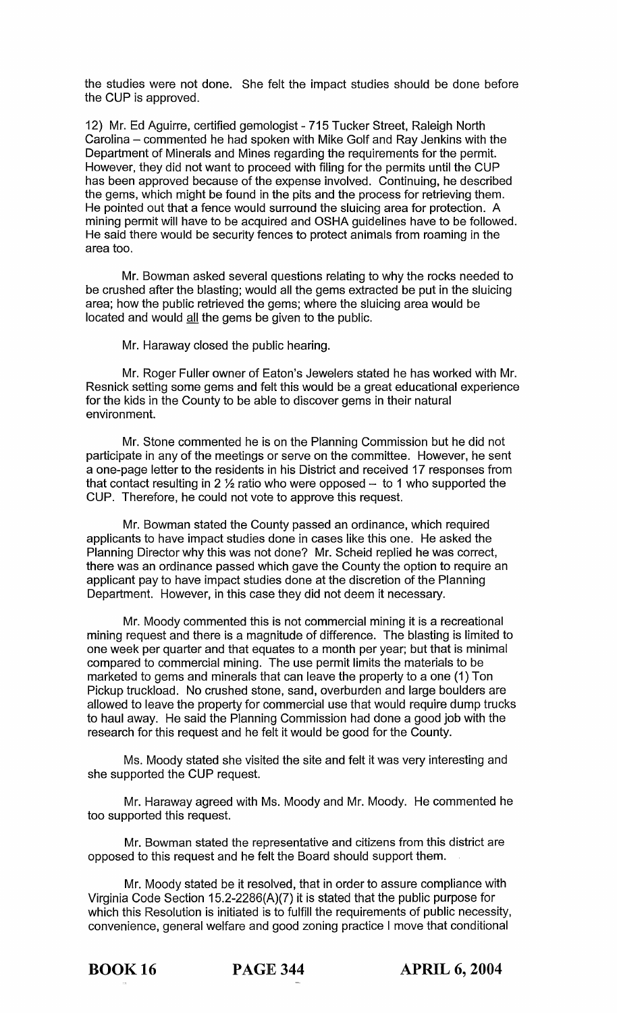the studies were not done. She felt the impact studies should be done before the CUP is approved.

12) Mr. Ed Aguirre, certified gemologist - 715 Tucker Street, Raleigh North Carolina - commented he had spoken with Mike Golf and Ray Jenkins with the Department of Minerals and Mines regarding the requirements for the permit. However, they did not want to proceed with filing for the permits until the CUP has been approved because of the expense involved. Continuing, he described the gems, which might be found in the pits and the process for retrieving them. He pointed out that a fence would surround the sluicing area for protection. A mining permit will have to be acquired and OSHA guidelines have to be followed. He said there would be security fences to protect animals from roaming in the area too.

Mr. Bowman asked several questions relating to why the rocks needed to be crushed after the blasting; would all the gems extracted be put in the sluicing area; how the public retrieved the gems; where the sluicing area would be located and would all the gems be given to the public.

Mr. Haraway closed the public hearing.

Mr. Roger Fuller owner of Eaton's Jewelers stated he has worked with Mr. Resnick setting some gems and felt this would be a great educational experience for the kids in the County to be able to discover gems in their natural environment.

Mr. Stone commented he is on the Planning Commission but he did not participate in any of the meetings or serve on the committee. However, he sent a one-page letter to the residents in his District and received 17 responses from that contact resulting in 2  $\frac{1}{2}$  ratio who were opposed  $-$  to 1 who supported the CUP. Therefore, he could not vote to approve this request.

Mr. Bowman stated the County passed an ordinance, which required applicants to have impact studies done in cases like this one. He asked the Planning Director why this was not done? Mr. Scheid replied he was correct, there was an ordinance passed which gave the County the option to require an applicant pay to have impact studies done at the discretion of the Planning Department. However, in this case they did not deem it necessary.

Mr. Moody commented this is not commercial mining it is a recreational mining request and there is a magnitude of difference. The blasting is limited to one week per quarter and that equates to a month per year; but that is minimal compared to commercial mining. The use permit limits the materials to be marketed to gems and minerals that can leave the property to a one (1) Ton Pickup truckload. No crushed stone, sand, overburden and large boulders are allowed to leave the property for commercial use that would require dump trucks to haul away. He said the Planning Commission had done a good job with the research for this request and he felt it would be good for the County.

Ms. Moody stated she visited the site and felt it was very interesting and she supported the CUP request.

Mr. Haraway agreed with Ms. Moody and Mr. Moody. He commented he too supported this request.

Mr. Bowman stated the representative and citizens from this district are opposed to this request and he felt the Board should support them.

Mr. Moody stated be it resolved, that in order to assure compliance with Virginia Code Section 15.2-2286(A)(7) it is stated that the public purpose for which this Resolution is initiated is to fulfill the requirements of public necessity, convenience, general welfare and good zoning practice I move that conditional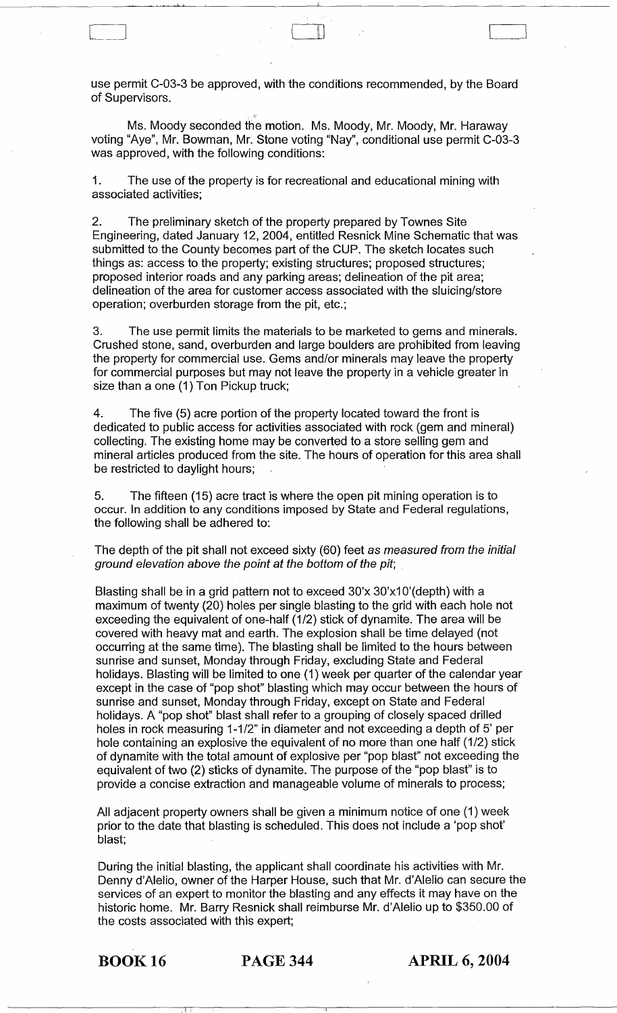use permit C-03-3 be approved, with the conditions recommended, by the Board of Supervisors.

السما

Ms. Moody seconded the motion. Ms. Moody, Mr. Moody, Mr. Haraway voting "Aye", Mr. Bowman, Mr. Stone voting "Nay", conditional use permit C-03-3 was approved, with the following conditions:

1. The use of the property is for recreational and educational mining with associated activities;

2. The preliminary sketch of the property prepared by Townes Site Engineering, dated January 12, 2004, entitled Resnick Mine Schematic that was submitted to the County becomes part of the CUP. The sketch locates such things as: access to the property; existing structures; proposed structures; proposed interior roads and any parking areas; delineation of the pit area; delineation of the area for customer access associated with the sluicing/store operation; overburden storage from the pit, etc.;

3. The use permit limits the materials to be marketed to gems and minerals. Crushed stone, sand, overburden and large boulders are prohibited from leaving the property for commercial use. Gems and/or minerals may leave the property for commercial purposes but may not leave the property in a vehicle greater in size than a one (1) Ton Pickup truck;

4. The five (5) acre portion of the property located toward the front is dedicated to public access for activities associated with rock (gem and mineral) collecting. The existing home may be converted to a store selling gem and mineral articles produced from the site. The hours of operation for this area shall be restricted to daylight hours;

5. The fifteen (15) acre tract is where the open pit mining operation is to occur. In addition to any conditions imposed by State and Federal regulations, the following shall be adhered to:

The depth of the pit shall not exceed sixty (60) feet as measured from the initial ground elevation above the point at the bottom of the pit;

Blasting shall be in a grid pattern not to exceed 30'x 30'x10'(depth) with a maximum of twenty (20) holes per single blasting to the grid with each hole not exceeding the equivalent of one-half (1/2) stick of dynamite. The area will be covered with heavy mat and earth. The explosion shall be time delayed (not occurring at the same time). The blasting shall be limited to the hours between sunrise and sunset, Monday through Friday, excluding State and Federal holidays. Blasting will be limited to one (1) week per quarter of the calendar year except in the case of "pop shot" blasting which may occur between the hours of sunrise and sunset, Monday through Friday, except on State and Federal holidays. A "pop shot" blast shall refer to a grouping of closely spaced drilled holes in rock measuring 1-1/2" in diameter and not exceeding a depth of 5' per hole containing an explosive the equivalent of no more than one half (1/2) stick of dynamite with the total amount of explosive per "pop blast" not exceeding the equivalent of two (2) sticks of dynamite. The purpose of the "pop blast" is to provide a concise extraction and manageable volume of minerals to process;

All adjacent property owners shall be given a minimum notice of one (1) week prior to the date that blasting is scheduled. This does not include a 'pop shot' blast;

During the initial blasting, the applicant shall coordinate his activities with Mr. Denny d'Alelio, owner of the Harper House, such that Mr. d'Alelio can secure the services of an expert to monitor the blasting and any effects it may have on the historic home. Mr. Barry Resnick shall reimburse Mr. d'Alelio up to \$350.00 of the costs associated with this expert;

.1 I

BOOK 16 PAGE 344 **APRIL 6, 2004**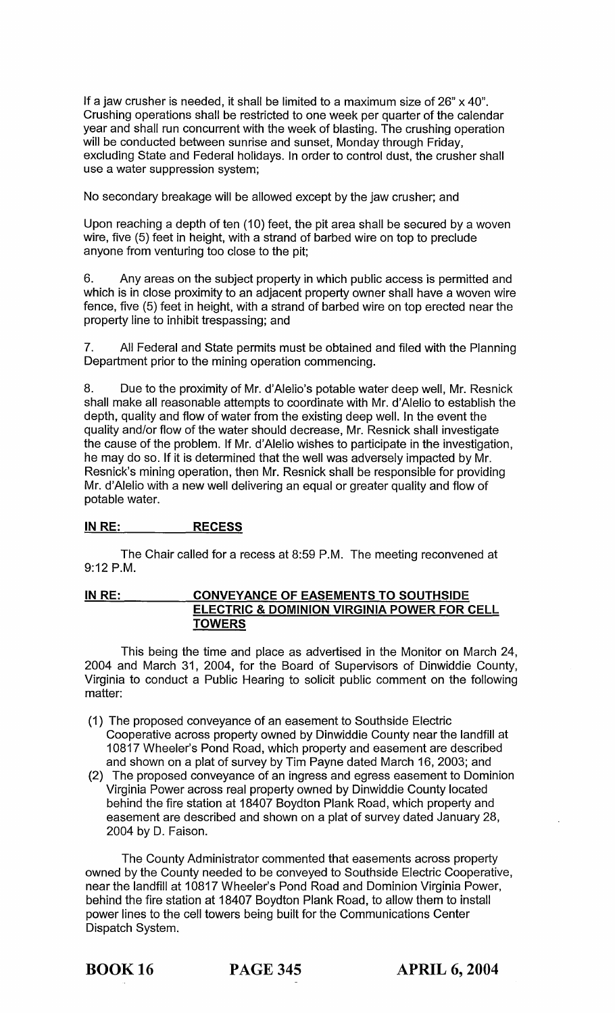If a jaw crusher is needed, it shall be limited to a maximum size of  $26" \times 40"$ . Crushing operations shall be restricted to one week per quarter of the calendar year and shall run concurrent with the week of blasting. The crushing operation will be conducted between sunrise and sunset, Monday through Friday, excluding State and Federal holidays. In order to control dust, the crusher shall use a water suppression system;

No secondary breakage will be allowed except by the jaw crusher; and

Upon reaching a depth of ten (10) feet, the pit area shall be secured by a woven wire, five (5) feet in height, with a strand of barbed wire on top to preclude anyone from venturing too close to the pit;

6. Any areas on the subject property in which public access is permitted and which is in close proximity to an adjacent property owner shall have a woven wire fence, five (5) feet in height, with a strand of barbed wire on top erected near the property line to inhibit trespassing; and

7. All Federal and State permits must be obtained and filed with the Planning Department prior to the mining operation commencing.

8. Due to the proximity of Mr. d'Alelio's potable water deep well, Mr. Resnick shall make all reasonable attempts to coordinate with Mr. d'Alelio to establish the depth, quality and flow of water from the existing deep well. In the event the quality and/or flow of the water should decrease, Mr. Resnick shall investigate the cause of the problem. If Mr. d'Alelio wishes to participate in the investigation, he may do so. If it is determined that the well was adversely impacted by Mr. Resnick's mining operation, then Mr. Resnick shall be responsible for providing Mr. d'Alelio with a new well delivering an equal or greater quality and flow of potable water.

# **INRE: RECESS**

The Chair called for a recess at 8:59 P.M. The meeting reconvened at 9:12 P.M.

# **INRE: CONVEYANCE OF EASEMENTS TO SOUTHSIDE ELECTRIC & DOMINION VIRGINIA POWER FOR CELL TOWERS**

This being the time and place as advertised in the Monitor on March 24, 2004 and March 31, 2004, for the Board of Supervisors of Dinwiddie County, Virginia to conduct a Public Hearing to solicit public comment on the following matter:

- (1) The proposed conveyance of an easement to Southside Electric Cooperative across property owned by Dinwiddie County near the landfill at 10817 Wheeler's Pond Road, which property and easement are described and shown on a plat of survey by Tim Payne dated March 16, 2003; and
- (2) The proposed conveyance of an ingress and egress easement to Dominion Virginia Power across real property owned by Dinwiddie County located behind the fire station at 18407 Boydton Plank Road, which property and easement are described and shown on a plat of survey dated January 28, 2004 by D. Faison.

The County Administrator commented that easements across property owned by the County needed to be conveyed to Southside Electric Cooperative, near the landfill at 10817 Wheeler's Pond Road and Dominion Virginia Power, behind the fire station at 18407 Boydton Plank Road, to allow them to install power lines to the cell towers being built for the Communications Center Dispatch System.

BOOK 16 PAGE 345 **APRIL 6, 2004**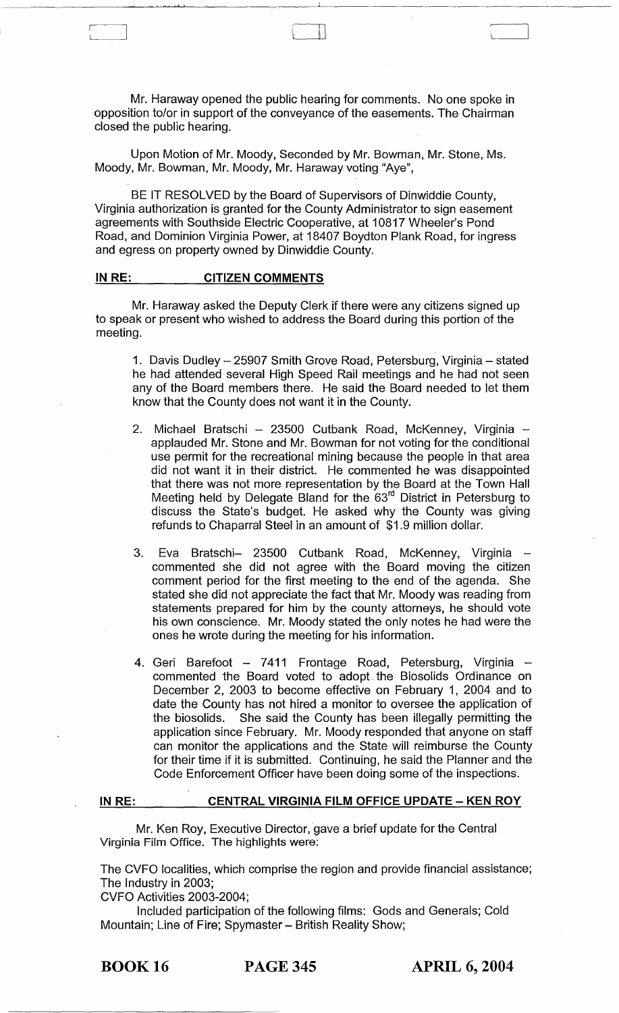Mr. Haraway opened the public hearing for comments. No one spoke in opposition to/or in support of the conveyance of the easements. The Chairman closed the public hearing.

 $\mathbb L$ 

Upon Motion of Mr. Moody, Seconded by Mr. Bowman, Mr. Stone, Ms. Moody, Mr. Bowman, Mr. Moody, Mr. Haraway voting "Aye",

BE IT RESOLVED by the Board of Supervisors of Dinwiddie County, Virginia authorization is granted for the County Administrator to sign easement agreements with Southside Electric Cooperative, at 10817 Wheeler's Pond Road, and Dominion Virginia Power, at 18407 Boydton Plank Road, for ingress and egress on property owned by Dinwiddie County.

#### **IN RE: CITIZEN COMMENTS**

• .1 l.

Mr. Haraway asked the Deputy Clerk if there were any citizens signed up to speak or present who wished to address the Board during this portion of the meeting.

1. Davis Dudley - 25907 Smith Grove Road, Petersburg, Virginia - stated he had attended several High Speed Rail meetings and he had not seen any of the Board members there. He said the Board needed to let them know that the County does not want it in the County.

- 2. Michael Bratschi 23500 Cutbank Road, McKenney, Virginia applauded Mr. Stone and Mr. Bowman for not voting for the conditional use permit for the recreational mining because the people in that area did not want it in their district. He commented he was disappointed that there was not more representation by the Board at the Town Hall Meeting held by Delegate Bland for the 63<sup>rd</sup> District in Petersburg to discuss the State's budget. He asked why the County was giving refunds to Chaparral Steel in an amount of \$1.9 million dollar.
- 3. Eva Bratschi- 23500 Cutbank Road, McKenney, Virginia commented she did not agree with the Board moving the citizen comment period for the first meeting to the end of the agenda. She stated she did not appreciate the fact that Mr. Moody was reading from statements prepared for him by the county attorneys, he should vote his own conscience. Mr. Moody stated the only notes he had were the ones he wrote during the meeting for his information.
- 4. Geri Barefoot 7411 Frontage Road, Petersburg, Virginia commented the Board voted to adopt. the Biosolids Ordinance on December 2, 2003 to become effective on February 1, 2004 and to date the County has not hired a monitor to oversee the application of the biosolids. She said the County has been illegally permitting the application since February. Mr. Moody responded that anyone on staff can monitor the applications and the State will reimburse the County for their time if it is submitted. Continuing, he said the Planner and the Code Enforcement Officer have been doing some of the inspections.

#### **INRE: CENTRAL VIRGINIA FILM OFFICE UPDATE - KEN ROY**

Mr. Ken Roy, Executive Director, gave a brief update for the Central Virginia Film Office. The highlights were:

The CVFO localities, which comprise the region and provide financial assistance; The Industry in 2003;

CVFO Activities 2003-2004;

Included participation of the following films: Gods and Generals; Cold Mountain; Line of Fire; Spymaster - British Reality Show;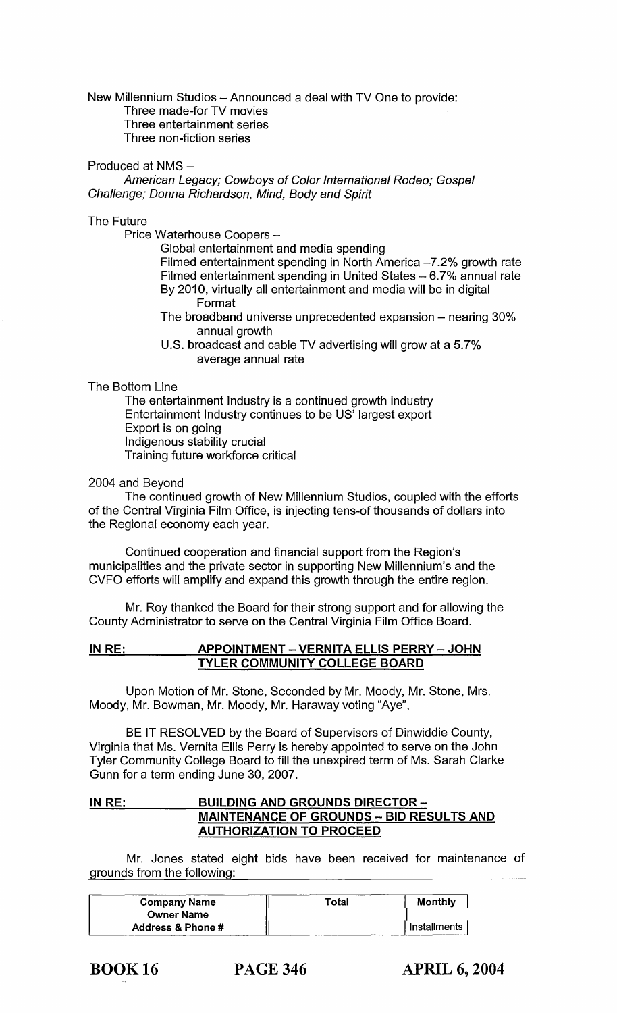New Millennium Studios - Announced a deal with TV One to provide:

Three made-for TV movies Three entertainment series

Three non-fiction series

#### Produced at NMS -

American Legacy; Cowboys of Color International Rodeo; Gospel Challenge; Donna Richardson, Mind, Body and Spirit

#### The Future

Price Waterhouse Coopers -

Global entertainment and media spending

Filmed entertainment spending in North America  $-7.2\%$  growth rate Filmed entertainment spending in United States  $-6.7%$  annual rate By 2010, virtually all entertainment and media will be in digital Format

The broadband universe unprecedented expansion  $-$  nearing 30% annual growth

U.S. broadcast and cable TV advertising will grow at a 5.7% average annual rate

# The Bottom Line

The entertainment Industry is a continued growth industry Entertainment Industry continues to be US' largest export Export is on going Indigenous stability crucial Training future workforce critical

# 2004 and Beyond

The continued growth of New Millennium Studios, coupled with the efforts of the Central Virginia Film Office, is injecting tens-of thousands of dollars into the Regional economy each year.

Continued cooperation and financial support from the Region's municipalities and the private sector in supporting New Millennium's and the CVFO efforts will amplify and expand this growth through the entire region.

Mr. Roy thanked the Board for their strong support and for allowing the County Administrator to serve on the Central Virginia Film Office Board.

## IN RE: APPOINTMENT - VERNITA ELLIS PERRY - JOHN TYLER COMMUNITY COLLEGE BOARD

Upon Motion of Mr. Stone, Seconded by Mr. Moody, Mr. Stone, Mrs. Moody, Mr. Bowman, Mr. Moody, Mr. Haraway voting "Aye",

BE IT RESOLVED by the Board of Supervisors of Dinwiddie County, Virginia that Ms. Vernita Ellis Perry is hereby appointed to serve on the John Tyler Community College Board to fill the unexpired term of Ms. Sarah Clarke Gunn for a term ending June 30,2007.

# IN RE: BUILDING AND GROUNDS DIRECTOR -**MAINTENANCE OF GROUNDS - BID RESULTS AND** AUTHORIZATION TO PROCEED

Mr. Jones stated eight bids have been received for maintenance of grounds from the following:

| <b>Company Name</b>          | Total | Monthly      |
|------------------------------|-------|--------------|
| <b>Owner Name</b>            |       |              |
| <b>Address &amp; Phone #</b> |       | Installments |

PAGE 346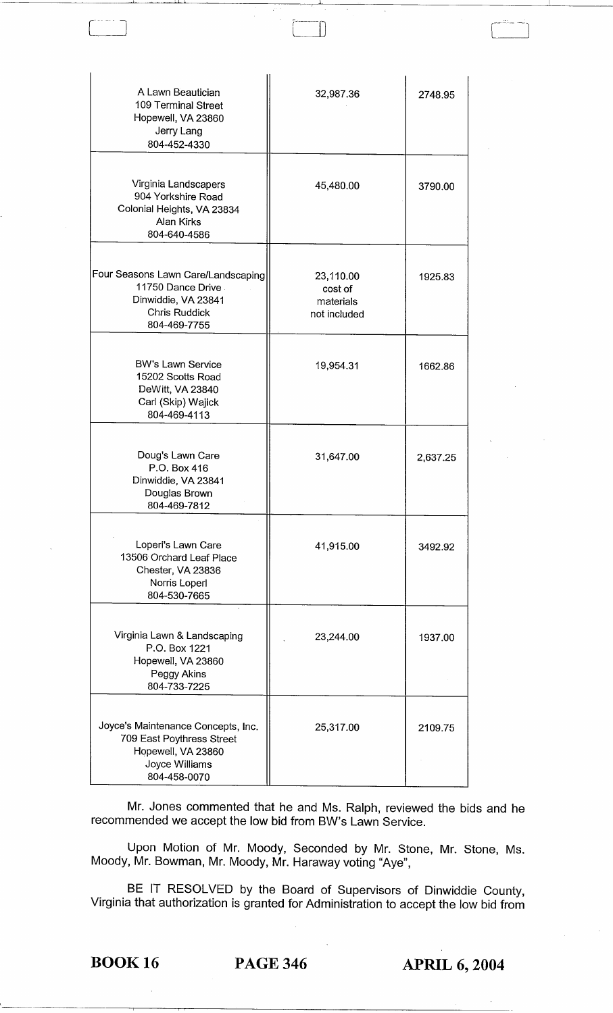| A Lawn Beautician<br>109 Terminal Street<br>Hopewell, VA 23860<br>Jerry Lang<br>804-452-4330                            | 32,987.36                                         | 2748.95  |
|-------------------------------------------------------------------------------------------------------------------------|---------------------------------------------------|----------|
| Virginia Landscapers<br>904 Yorkshire Road<br>Colonial Heights, VA 23834<br>Alan Kirks<br>804-640-4586                  | 45,480.00                                         | 3790.00  |
| Four Seasons Lawn Care/Landscaping<br>11750 Dance Drive<br>Dinwiddie, VA 23841<br><b>Chris Ruddick</b><br>804-469-7755  | 23,110.00<br>cost of<br>materials<br>not included | 1925.83  |
| <b>BW's Lawn Service</b><br>15202 Scotts Road<br>DeWitt, VA 23840<br>Carl (Skip) Wajick<br>804-469-4113                 | 19,954.31                                         | 1662.86  |
| Doug's Lawn Care<br>P.O. Box 416<br>Dinwiddie, VA 23841<br>Douglas Brown<br>804-469-7812                                | 31,647.00                                         | 2,637.25 |
| Loperl's Lawn Care<br>13506 Orchard Leaf Place<br>Chester, VA 23836<br>Norris Loperl<br>804-530-7665                    | 41,915.00                                         | 3492.92  |
| Virginia Lawn & Landscaping<br>P.O. Box 1221<br>Hopewell, VA 23860<br>Peggy Akins<br>804-733-7225                       | 23,244.00                                         | 1937.00  |
| Joyce's Maintenance Concepts, Inc.<br>709 East Poythress Street<br>Hopewell, VA 23860<br>Joyce Williams<br>804-458-0070 | 25,317.00                                         | 2109.75  |

I I.

Mr. Jones commented that he and Ms. Ralph, reviewed the bids and he recommended we accept the low bid from BW's Lawn Service.

Upon Motion of Mr. Moody, Seconded by Mr. Stone, Mr. Stone, Ms. Moody, Mr. Bowman, Mr. Moody, Mr. Haraway voting "Aye",

BE IT RESOLVED by the Board of Supervisors of Dinwiddie County, Virginia that authorization is granted for Administration to accept the low bid from

BOOK 16 PAGE 346 **APRIL 6, 2004**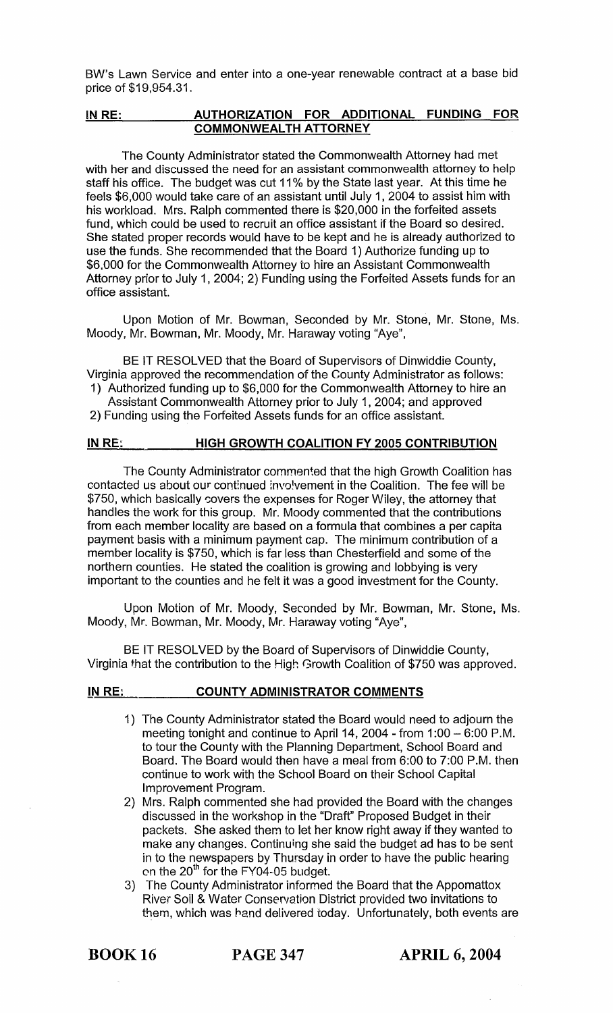BW's Lawn Service and enter into a one-year renewable contract at a base bid price of \$19,954.31.

# INRE: **AUTHORIZATION FOR ADDITIONAL FUNDING** FOR **COMMONWEALTH ATTORNEY**

The County Administrator stated the Commonwealth Attorney had met with her and discussed the need for an assistant commonwealth attorney to help staff his office. The budget was cut 11% by the State last year. At this time he feels \$6,000 would take care of an assistant until July 1 , 2004 to assist him with his workload. Mrs. Ralph commented there is \$20,000 in the forfeited assets fund, which could be used to recruit an office assistant if the Board so desired. She stated proper records would have to be kept and he is already authorized to use the funds. She recommended that the Board 1) Authorize funding up to \$6,000 for the Commonwealth Attorney to hire an Assistant Commonwealth Attorney prior to July 1, 2004; 2) Funding using the Forfeited Assets funds for an office assistant.

Upon Motion of Mr. Bowman, Seconded by Mr. Stone, Mr. Stone, Ms. Moody, Mr. Bowman, Mr. Moody, Mr. Haraway voting "Aye",

BE IT RESOLVED that the Board of Supervisors of Dinwiddie County, Virginia approved the recommendation of the County Administrator as follows: 1) Authorized funding up to \$6,000 for the Commonwealth Attorney to hire an

Assistant Commonwealth Attorney prior to July 1, 2004; and approved 2) Funding using the Forfeited Assets funds for an office assistant.

#### **IN RE: HIGH GROWTH COALITION FY 2005 CONTRIBUTION**

The County Administrator commented that the high Growth Coalition has contacted us about our continued involvement in the Coalition. The fee will be \$750, which basically covers the expenses for Roger Wiley, the attorney that handles the work for this group. Mr. Moody commented that the contributions from each member locality are based on a formula that combines a per capita payment basis with a minimum payment cap. The minimum contribution of a member locality is \$750, which is far less than Chesterfield and some of the northern counties. He stated the coalition is growing and lobbying is very important to the counties and he felt it was a good investment for the County.

Upon Motion of Mr. Moody, Seconded by Mr. Bowman, Mr. Stone, Ms. Moody, Mr. Bowman, Mr. Moody, Mr. Haraway voting "Aye",

BE IT RESOLVED by the Board of Supervisors of Dinwiddie County, Virginia that the contribution to the High Growth Coalition of \$750 was approved.

# **IN** RE: **COUNTY ADMINISTRATOR COMMENTS**

- 1) The County Administrator stated the Board would need to adjourn the meeting tonight and continue to April 14, 2004 - from  $1:00 - 6:00$  P.M. to tour the County with the Planning Department, School Board and Board. The Board would then have a meal from 6:00 to 7:00 P.M. then continue to work with the School Board on their School Capital Improvement Program.
- 2) Mrs. Ralph commented she had provided the Board with the changes discussed in the workshop in the "Draft" Proposed Budget in their packets. She asked them to let her know right away if they wanted to make any changes. Continuing she said the budget ad has to be sent in to the newspapers by Thursday in order to have the public hearing en the  $20<sup>th</sup>$  for the FY04-05 budget.
- 3) The County Administrator informed the Board that the Appomattox River Soil & Water Conservation District provided two invitations to them, which was hand delivered today. Unfortunately, both events are

BOOK 16 PAGE 347 **APRIL 6, 2004**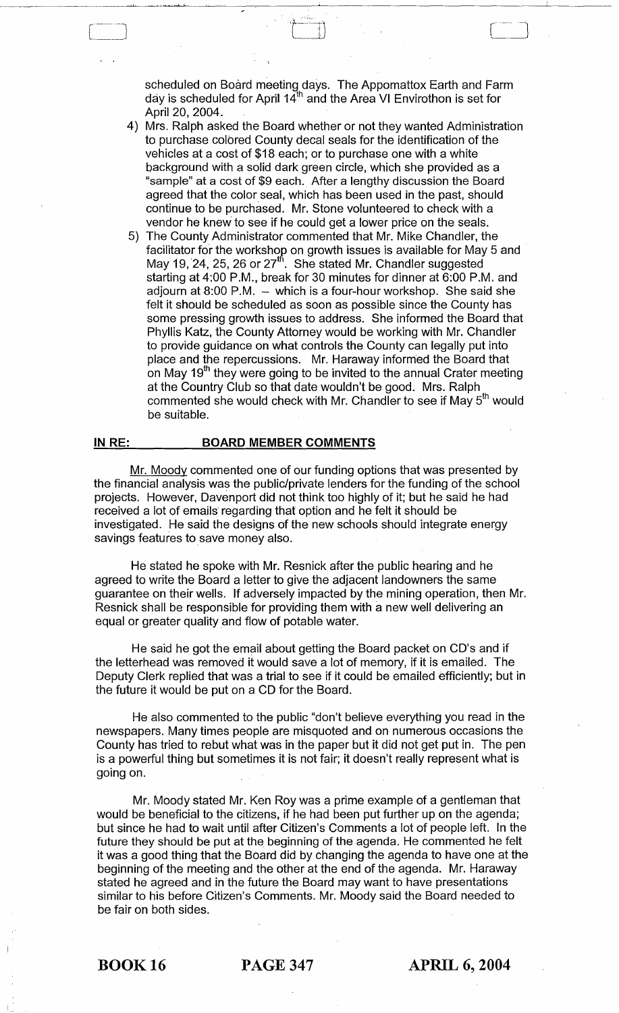scheduled on Board meeting days. The Appomattox Earth and Farm day is scheduled for April 14"' and the Area VI Envirothon is set for April 20, 2004.

 $\begin{array}{c} \hline \end{array}$ 

- 4) Mrs. Ralph asked the Board whether or not they wanted Administration to purchase colored County decal seals for the identification of the vehicles at a cost of \$18 each; or to purchase one with a white background with a solid dark green circle, which she provided as a "sample" at a cost of \$9 each. After a lengthy discussion the Board agreed that the color seal, which has been used in the past, should continue to be purchased. Mr. Stone volunteered to check with a vendor he knew to see if he could get a lower price on the seals.
- 5) The County Administrator commented that Mr. Mike Chandler, the facilitator for the workshop on growth issues is available for May 5 and May 19, 24, 25, 26 or  $27<sup>th</sup>$ . She stated Mr. Chandler suggested starting at 4:00 P.M., break for 30 minutes for dinner at 6:00 P.M. and adjourn at  $8:00$  P.M.  $-$  which is a four-hour workshop. She said she felt it should be scheduled as soon as possible since the County has some pressing growth issues to address. She informed the Board that Phyllis Katz, the County Attorney would be working with Mr. Chandler to provide guidance on what controls the County can legally put into place and the repercussions. Mr. Haraway informed the Board that on May  $19<sup>th</sup>$  they were going to be invited to the annual Crater meeting at the Country Club so that date wouldn't be good. Mrs. Ralph commented she would check with Mr. Chandler to see if May 5<sup>th</sup> would be suitable.

#### **IN RE:** BOARD MEMBER COMMENTS

 $\Box$ 

! 10

Mr. Moody commented one of our funding options that was presented by the financial analysis was the public/private lenders for the funding of the school projects. However, Davenport did not think too highly of it; but he said he had received a lot of emails' regarding that option and he felt it should be investigated. He said the designs of the new schools should integrate energy savings features to save money also.

He stated he spoke with Mr. Resnick after the public hearing and he agreed to write the Board a letter to give the adjacent landowners the same guarantee on their wells. If adversely impacted by the mining operation, then Mr. Resnick shall be responsible for providing them with a new well delivering an equal or greater quality and flow of potable water.

He said he got the email about getting the Board packet on CD's and if the letterhead was removed it would save a lot of memory, if it is emailed. The Deputy Clerk replied that was a trial to see if it could be emailed efficiently; but in the future it would be put on a CD for the Board.

He also commented to the public "don't believe everything you read in the newspapers. Many times people are misquoted and on numerous occasions the County has tried to rebut what was in the paper but it did not get put in. The pen is a powerful thing but sometimes it is not fair; it doesn't really represent what is going on.

Mr. Moody stated Mr. Ken Roy was a prime example of a gentleman that would be beneficial to the citizens, if he had been put further up on the agenda; but since he had to wait until after Citizen's Comments a lot of people left. In the future they should be put at the beginning of the agenda. He commented he felt it was a good thing that the Board did by changing the agenda to have one at the beginning of the meeting and the other at the end of the agenda. Mr. Haraway stated he agreed and in the future the Board may want to have presentations similar to his before Citizen's Comments. Mr. Moody said the Board needed to be fair on both sides.

BOOK 16 PAGE 347 **APRIL 6, 2004**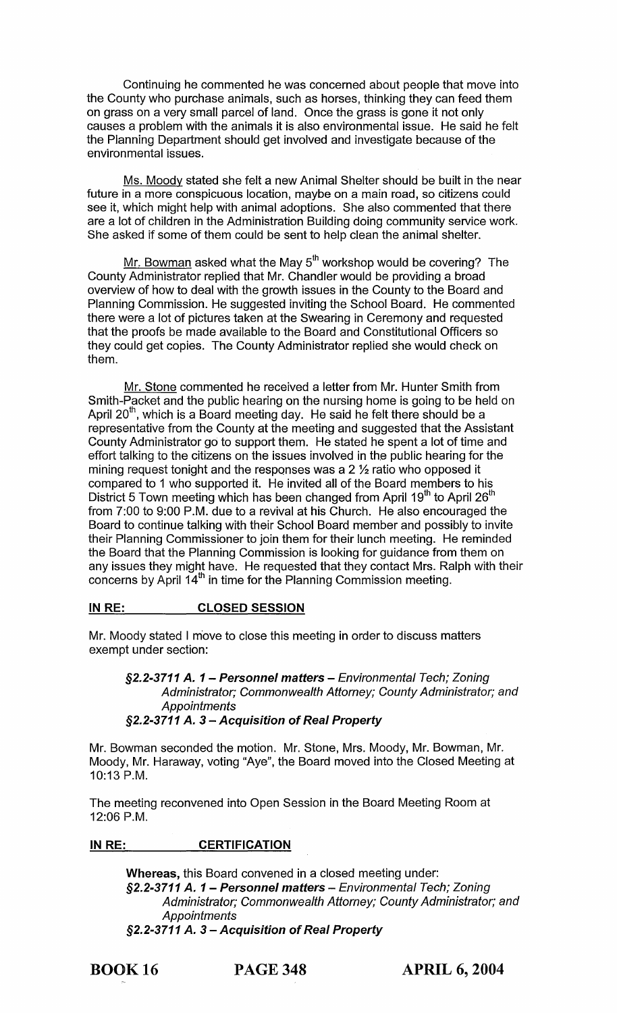Continuing he commented he was concerned about people that move into the County who purchase animals, such as horses, thinking they can feed them on grass on a very small parcel of land. Once the grass is gone it not only causes a problem with the animals it is also environmental issue. He said he felt the Planning Department should get involved and investigate because of the environmental issues.

Ms. Moody stated she felt a new Animal Shelter should be built in the near future in a more conspicuous location, maybe on a main road, so citizens could see it, which might help with animal adoptions. She also commented that there are a lot of children in the Administration Building doing community service work. She asked if some of them could be sent to help clean the animal shelter.

Mr. Bowman asked what the May  $5<sup>th</sup>$  workshop would be covering? The County Administrator replied that Mr. Chandler would be providing a broad overview of how to deal with the growth issues in the County to the Board and Planning Commission. He suggested inviting the School Board. He commented there were a lot of pictures taken at the Swearing in Ceremony and requested that the proofs be made available to the Board and Constitutional Officers so they could get copies. The County Administrator replied she would check on them.

Mr. Stone commented he received a letter from Mr. Hunter Smith from Smith-Packet and the public hearing on the nursing home is going to be held on April  $20<sup>th</sup>$ , which is a Board meeting day. He said he felt there should be a representative from the County at the meeting and suggested that the Assistant County Administrator go to support them. He stated he spent a lot of time and effort talking to the citizens on the issues involved in the public hearing for the mining request tonight and the responses was a  $2\frac{1}{2}$  ratio who opposed it compared to 1 who supported it. He invited all of the Board members to his District 5 Town meeting which has been changed from April 19<sup>th</sup> to April 26<sup>th</sup> from 7:00 to 9:00 P.M. due to a revival at his Church. He also encouraged the Board to continue talking with their School Board member and possibly to invite their Planning Commissioner to join them for their lunch meeting. He reminded the Board that the Planning Commission is looking for guidance from them on any issues they might have. He requested that they contact Mrs. Ralph with their concerns by April  $14<sup>th</sup>$  in time for the Planning Commission meeting.

# IN RE: CLOSED SESSION

Mr. Moody stated I move to close this meeting in order to discuss matters exempt under section:

## §2.2-3711 A. 1 - Personnel matters - Environmental Tech; Zoning Administrator; Commonwealth Attorney; County Administrator; and **Appointments** §2.2-3711 A. 3 – Acquisition of Real Property

Mr. Bowman seconded the motion. Mr. Stone, Mrs. Moody, Mr. Bowman, Mr. Moody, Mr. Haraway, voting "Aye", the Board moved into the Closed Meeting at 10:13 P.M.

The meeting reconvened into Open Session in the Board Meeting Room at 12:06 P.M.

#### IN RE: CERTIFICATION

Whereas, this Board convened in a closed meeting under: §2.2-3711 A. 1 - Personnel matters - Environmental Tech; Zoning Administrator; Commonwealth Attorney; County Administrator; and **Appointments** §2.2-3711 A. 3 – Acquisition of Real Property

BOOK 16 PAGE 348 APRIL 6, 2004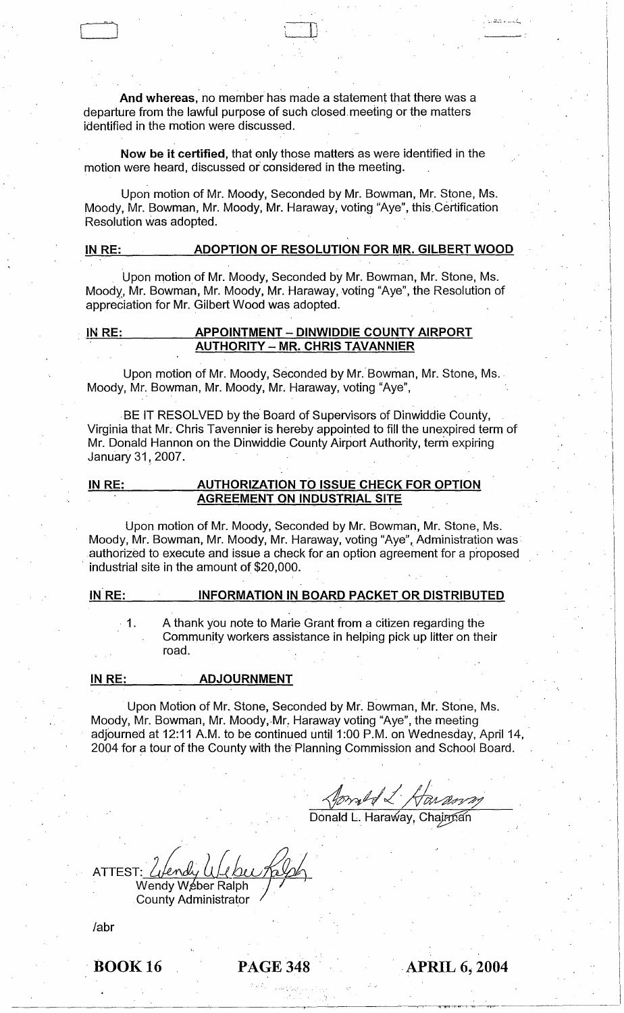And whereas, no member has made a statement that there was a departure from the lawful purpose of such closed, meeting or the matters identified in the motion were discussed.

 $\Box$ 

\_.\_--' ... -.:......,

, . .

Now be it certified, that only those matters as were identified in the motion were heard, discussed or considered in the meeting.

Upon motion of Mr. Moody, Seconded by Mr. Bowman, Mr. Stone, Ms. Moody, Mr. Bowman, Mr. Moody, Mr. Haraway, voting "Aye", this Certification Resolution was adopted.

# IN RE: ADOPTION OF RESOLUTION FOR MR. GILBERT WOOD

Upon motion of Mr. Moody, Seconded by Mr. Bowman, Mr. Stone, Ms. Moody, Mr. Bowman, Mr. Moody, Mr. Haraway, voting "Aye", the Resolution of appreciation for Mr. Gilbert Wood was adopted.

#### IN RE: APPOINTMENT - DINWIDDIE COUNTY AIRPORT **AUTHORITY - MR. CHRIS TAVANNIER**

Upon motion of Mr. Moody, Seconded by Mr. Bowman, Mr. Stone, Ms. Moody, Mr. Bowman, Mr. Moody, Mr. Haraway, voting "Aye",

BE IT RESOLVED by the Board of Supervisors of Dinwiddie County, Virginia that Mr. Chris Tavennier is hereby appointed to fill the unexpired term of Mr. Donald Hannon on the Dinwiddie County Airport Authority, term expiring January 31, 2007.

## IN RE: AUTHORIZATION TO ISSUE CHECK FOR OPTION AGREEMENT ON INDUSTRIAL SITE

Upon motion of Mr. Moody, Seconded by Mr. Bowman, Mr. Stone, Ms. Moody, Mr. Bowman, Mr. Moody, Mr. Haraway, voting "Aye", Administration was authorized to execute and issue a check for an option agreement for a p'roposed . industrial site in the amount of \$20,000.

IN RE:

. 1.

 $\begin{matrix} \begin{matrix} \end{matrix} \end{matrix}$ 

# INFORMATION IN BOARD PACKET OR DISTRIBUTED

A thank you note to Marie Grant from a citizen regarding the Community workers assistance in helping pick up litter on their road.

IN RE: ADJOURNMENT

Upon Motion of Mr. Stone, Seconded by Mr. Bowman, Mr. Stone, Ms. Moody, Mr. Bowman, Mr. Moody, Mr. Haraway voting "Aye", the meeting adjourned at 12:11 A.M. to be continued until 1:00 P.M. on Wednesday, April 14, 2004 for a tour of the County with the' Planning Commission and School Board.

forset & Haranny

Donald L. Haraway, Chairnan

ATTEST: *Lifendy UJ UD*<br>Wendy Weber Ralph

County Administrator

labr

**BOOK 16 PAGE 348 APRIL 6, 2004** 

-~~-'1f'l"T-<..,..,.........-...,.c,----..,......---